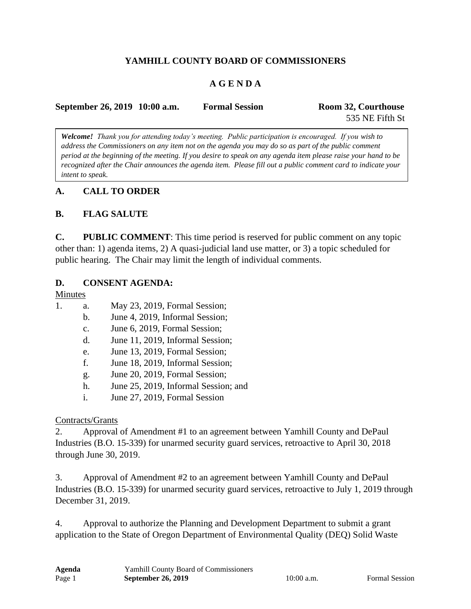### **YAMHILL COUNTY BOARD OF COMMISSIONERS**

#### **A G E N D A**

| September 26, 2019 10:00 a.m. | <b>Formal Session</b> | Room 32, Courthouse |
|-------------------------------|-----------------------|---------------------|
|                               |                       | 535 NE Fifth St     |

*Welcome! Thank you for attending today's meeting. Public participation is encouraged. If you wish to address the Commissioners on any item not on the agenda you may do so as part of the public comment period at the beginning of the meeting. If you desire to speak on any agenda item please raise your hand to be recognized after the Chair announces the agenda item. Please fill out a public comment card to indicate your intent to speak.*

#### **A. CALL TO ORDER**

#### **B. FLAG SALUTE**

**C. PUBLIC COMMENT**: This time period is reserved for public comment on any topic other than: 1) agenda items, 2) A quasi-judicial land use matter, or 3) a topic scheduled for public hearing. The Chair may limit the length of individual comments.

#### **D. CONSENT AGENDA:**

#### Minutes

- 1. a. May 23, 2019, Formal Session;
	- b. June 4, 2019, Informal Session;
	- c. June 6, 2019, Formal Session;
	- d. June 11, 2019, Informal Session;
	- e. June 13, 2019, Formal Session;
	- f. June 18, 2019, Informal Session;
	- g. June 20, 2019, Formal Session;
	- h. June 25, 2019, Informal Session; and
	- i. June 27, 2019, Formal Session

#### Contracts/Grants

2. Approval of Amendment #1 to an agreement between Yamhill County and DePaul Industries (B.O. 15-339) for unarmed security guard services, retroactive to April 30, 2018 through June 30, 2019.

3. Approval of Amendment #2 to an agreement between Yamhill County and DePaul Industries (B.O. 15-339) for unarmed security guard services, retroactive to July 1, 2019 through December 31, 2019.

4. Approval to authorize the Planning and Development Department to submit a grant application to the State of Oregon Department of Environmental Quality (DEQ) Solid Waste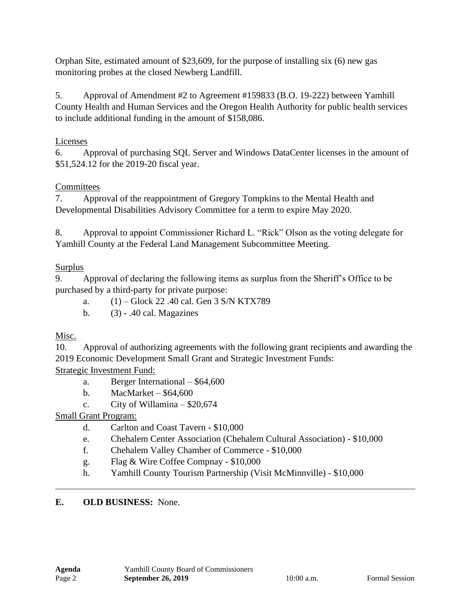Orphan Site, estimated amount of \$23,609, for the purpose of installing six (6) new gas monitoring probes at the closed Newberg Landfill.

5. Approval of Amendment #2 to Agreement #159833 (B.O. 19-222) between Yamhill County Health and Human Services and the Oregon Health Authority for public health services to include additional funding in the amount of \$158,086.

### Licenses

6. Approval of purchasing SQL Server and Windows DataCenter licenses in the amount of \$51,524.12 for the 2019-20 fiscal year.

## **Committees**

7. Approval of the reappointment of Gregory Tompkins to the Mental Health and Developmental Disabilities Advisory Committee for a term to expire May 2020.

8. Approval to appoint Commissioner Richard L. "Rick" Olson as the voting delegate for Yamhill County at the Federal Land Management Subcommittee Meeting.

### Surplus

9. Approval of declaring the following items as surplus from the Sheriff's Office to be purchased by a third-party for private purpose:

a. (1) – Glock 22 .40 cal. Gen 3 S/N KTX789

b. (3) - .40 cal. Magazines

## Misc.

10. Approval of authorizing agreements with the following grant recipients and awarding the 2019 Economic Development Small Grant and Strategic Investment Funds:

Strategic Investment Fund:

- a. Berger International \$64,600
- b. MacMarket \$64,600
- c. City of Willamina  $-$  \$20,674

## Small Grant Program:

- d. Carlton and Coast Tavern \$10,000
- e. Chehalem Center Association (Chehalem Cultural Association) \$10,000
- f. Chehalem Valley Chamber of Commerce \$10,000
- g. Flag & Wire Coffee Compnay \$10,000
- h. Yamhill County Tourism Partnership (Visit McMinnville) \$10,000

#### **E. OLD BUSINESS:** None.